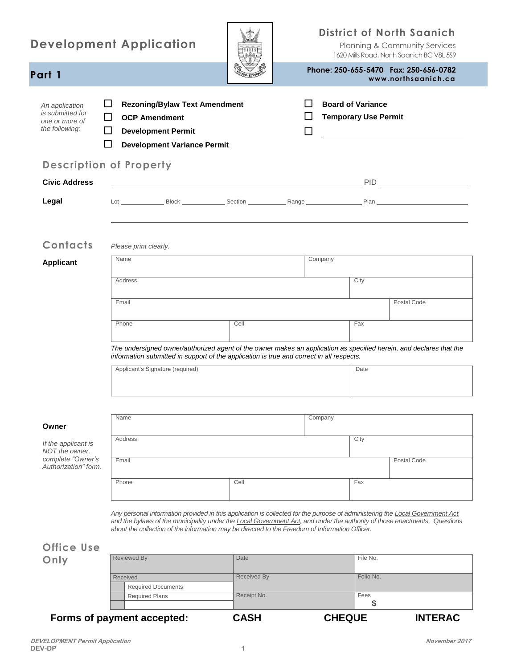| <b>Development Application</b>                                                     |                                                                                                                                                                                                                                                                                                                                                              |                            | <b>District of North Saanich</b><br>Planning & Community Services<br>1620 Mills Road, North Saanich BC V8L 5S9 |                                                         |                                                               |
|------------------------------------------------------------------------------------|--------------------------------------------------------------------------------------------------------------------------------------------------------------------------------------------------------------------------------------------------------------------------------------------------------------------------------------------------------------|----------------------------|----------------------------------------------------------------------------------------------------------------|---------------------------------------------------------|---------------------------------------------------------------|
| Part 1                                                                             |                                                                                                                                                                                                                                                                                                                                                              |                            |                                                                                                                |                                                         | Phone: 250-655-5470  Fax: 250-656-0782<br>www.northsaanich.ca |
| An application<br>is submitted for<br>one or more of<br>the following:             | ப<br><b>Rezoning/Bylaw Text Amendment</b><br>$\Box$<br><b>OCP Amendment</b><br>ப<br><b>Development Permit</b><br>ΙI<br><b>Development Variance Permit</b>                                                                                                                                                                                                    |                            | ப<br>l 1                                                                                                       | <b>Board of Variance</b><br><b>Temporary Use Permit</b> | <u> 1989 - Andrea Station Books, amerikansk politik (</u>     |
|                                                                                    | <b>Description of Property</b>                                                                                                                                                                                                                                                                                                                               |                            |                                                                                                                |                                                         |                                                               |
| <b>Civic Address</b>                                                               |                                                                                                                                                                                                                                                                                                                                                              |                            |                                                                                                                |                                                         |                                                               |
| Legal                                                                              |                                                                                                                                                                                                                                                                                                                                                              |                            |                                                                                                                |                                                         |                                                               |
| Contacts<br><b>Applicant</b>                                                       | Please print clearly.<br>Name<br>Address<br>Email<br>Phone                                                                                                                                                                                                                                                                                                   | Cell                       | Company                                                                                                        | City<br>Fax                                             | Postal Code                                                   |
|                                                                                    | The undersigned owner/authorized agent of the owner makes an application as specified herein, and declares that the<br>information submitted in support of the application is true and correct in all respects.<br>Applicant's Signature (required)                                                                                                          |                            |                                                                                                                | Date                                                    |                                                               |
| Owner                                                                              | Name                                                                                                                                                                                                                                                                                                                                                         |                            | Company                                                                                                        |                                                         |                                                               |
| If the applicant is<br>NOT the owner,<br>complete "Owner's<br>Authorization" form. | Address<br>Email                                                                                                                                                                                                                                                                                                                                             |                            |                                                                                                                | City                                                    | Postal Code                                                   |
|                                                                                    | Phone                                                                                                                                                                                                                                                                                                                                                        | Cell                       |                                                                                                                | Fax                                                     |                                                               |
| <b>Office Use</b>                                                                  | Any personal information provided in this application is collected for the purpose of administering the Local Government Act,<br>and the bylaws of the municipality under the Local Government Act, and under the authority of those enactments. Questions<br>about the collection of the information may be directed to the Freedom of Information Officer. |                            |                                                                                                                |                                                         |                                                               |
| Only                                                                               | <b>Reviewed By</b>                                                                                                                                                                                                                                                                                                                                           | Date                       |                                                                                                                | File No.                                                |                                                               |
|                                                                                    | Received<br><b>Required Documents</b><br><b>Required Plans</b>                                                                                                                                                                                                                                                                                               | Received By<br>Receipt No. |                                                                                                                | Folio No.<br>Fees<br>\$                                 |                                                               |

**Forms of payment accepted: CASH CHEQUE INTERAC**